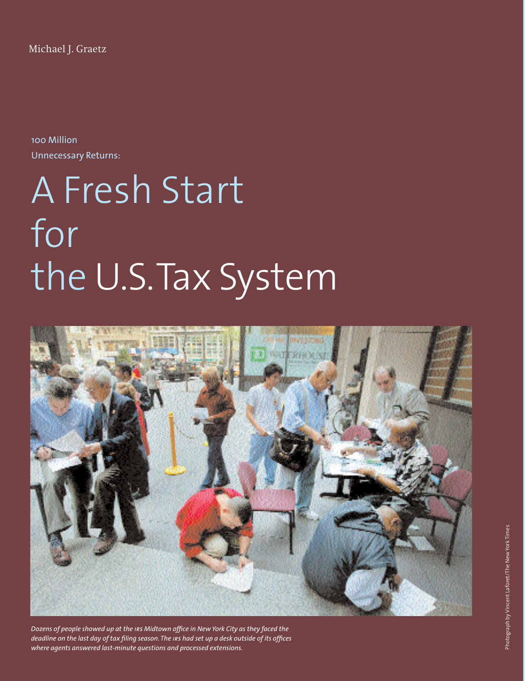Michael J. Graetz

100 Million Unnecessary Returns:

## A Fresh Start for the U.S.Tax System



*Dozens of people showed up at the irs Midtown office in New York City as they faced the deadline on the last day of tax filing season. The irs had set up a desk outside of its offices where agents answered last-minute questions and processed extensions.*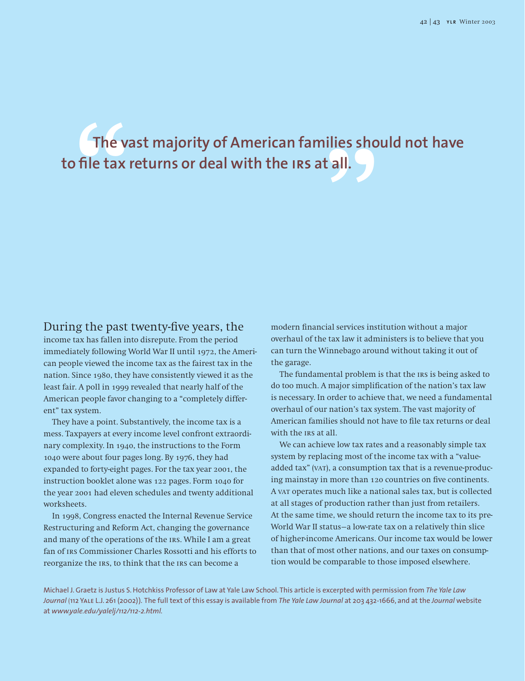# The vast majority of American families should not have<br> **D** file tax returns or deal with the IRS at all. **to file tax returns or deal with the irs at all.**

### During the past twenty-five years, the

income tax has fallen into disrepute. From the period immediately following World War II until 1972, the American people viewed the income tax as the fairest tax in the nation. Since 1980, they have consistently viewed it as the least fair. A poll in 1999 revealed that nearly half of the American people favor changing to a "completely different" tax system.

They have a point. Substantively, the income tax is a mess. Taxpayers at every income level confront extraordinary complexity. In 1940, the instructions to the Form 1040 were about four pages long. By 1976, they had expanded to forty-eight pages. For the tax year 2001, the instruction booklet alone was 122 pages. Form 1040 for the year 2001 had eleven schedules and twenty additional worksheets.

In 1998, Congress enacted the Internal Revenue Service Restructuring and Reform Act, changing the governance and many of the operations of the irs. While I am a great fan of irs Commissioner Charles Rossotti and his efforts to reorganize the irs, to think that the irs can become a

modern financial services institution without a major overhaul of the tax law it administers is to believe that you can turn the Winnebago around without taking it out of the garage.

The fundamental problem is that the irs is being asked to do too much. A major simplification of the nation's tax law is necessary. In order to achieve that, we need a fundamental overhaul of our nation's tax system. The vast majority of American families should not have to file tax returns or deal with the IRS at all.

We can achieve low tax rates and a reasonably simple tax system by replacing most of the income tax with a "valueadded tax" (VAT), a consumption tax that is a revenue-producing mainstay in more than 120 countries on five continents. A var operates much like a national sales tax, but is collected at all stages of production rather than just from retailers. At the same time, we should return the income tax to its pre-World War II status—a low-rate tax on a relatively thin slice of higher-income Americans. Our income tax would be lower than that of most other nations, and our taxes on consumption would be comparable to those imposed elsewhere.

Michael J. Graetz is Justus S. Hotchkiss Professor of Law at Yale Law School. This article is excerpted with permission from *The Yale Law Journal* (112 Yale L.J. 261 (2002)). The full text of this essay is available from *The Yale Law Journal* at 203 432-1666, and at the *Journal* website at *www.yale.edu/yalelj/112/112-2.html.*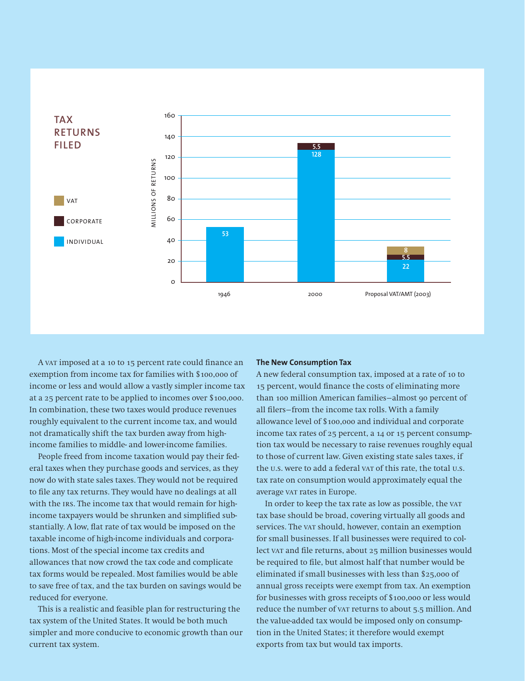

A var imposed at a 10 to 15 percent rate could finance an exemption from income tax for families with \$100,000 of income or less and would allow a vastly simpler income tax at a 25 percent rate to be applied to incomes over \$100,000. In combination, these two taxes would produce revenues roughly equivalent to the current income tax, and would not dramatically shift the tax burden away from highincome families to middle- and lower-income families.

People freed from income taxation would pay their federal taxes when they purchase goods and services, as they now do with state sales taxes. They would not be required to file any tax returns. They would have no dealings at all with the IRS. The income tax that would remain for highincome taxpayers would be shrunken and simplified substantially. A low, flat rate of tax would be imposed on the taxable income of high-income individuals and corporations. Most of the special income tax credits and allowances that now crowd the tax code and complicate tax forms would be repealed. Most families would be able to save free of tax, and the tax burden on savings would be reduced for everyone.

This is a realistic and feasible plan for restructuring the tax system of the United States. It would be both much simpler and more conducive to economic growth than our current tax system.

#### **The New Consumption Tax**

A new federal consumption tax, imposed at a rate of 10 to 15 percent, would finance the costs of eliminating more than 100 million American families—almost 90 percent of all filers—from the income tax rolls. With a family allowance level of \$100,000 and individual and corporate income tax rates of 25 percent, a 14 or 15 percent consumption tax would be necessary to raise revenues roughly equal to those of current law. Given existing state sales taxes, if the u.s. were to add a federal var of this rate, the total u.s. tax rate on consumption would approximately equal the average var rates in Europe.

In order to keep the tax rate as low as possible, the var tax base should be broad, covering virtually all goods and services. The var should, however, contain an exemption for small businesses. If all businesses were required to collect var and file returns, about 25 million businesses would be required to file, but almost half that number would be eliminated if small businesses with less than \$25,000 of annual gross receipts were exempt from tax. An exemption for businesses with gross receipts of \$100,000 or less would reduce the number of var returns to about 5.5 million. And the value-added tax would be imposed only on consumption in the United States; it therefore would exempt exports from tax but would tax imports.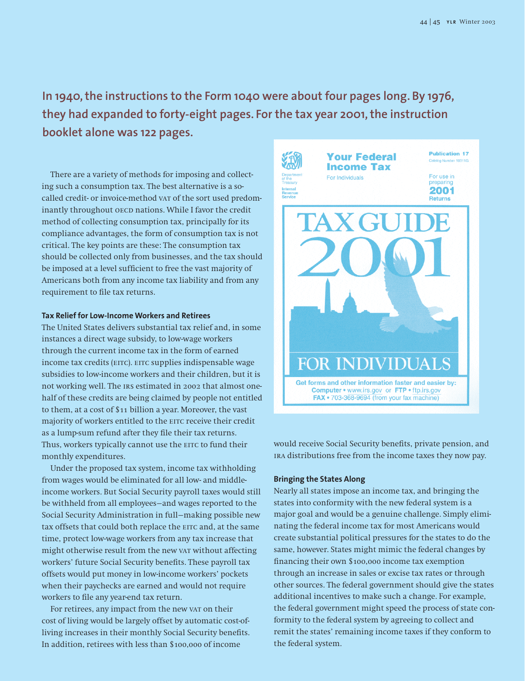**In 1940, the instructions to the Form 1040 were about four pages long. By 1976, they had expanded to forty-eight pages. For the tax year 2001, the instruction booklet alone was 122 pages.**

There are a variety of methods for imposing and collecting such a consumption tax. The best alternative is a socalled credit- or invoice-method var of the sort used predominantly throughout OECD nations. While I favor the credit method of collecting consumption tax, principally for its compliance advantages, the form of consumption tax is not critical. The key points are these: The consumption tax should be collected only from businesses, and the tax should be imposed at a level sufficient to free the vast majority of Americans both from any income tax liability and from any requirement to file tax returns.

#### **Tax Relief for Low-Income Workers and Retirees**

The United States delivers substantial tax relief and, in some instances a direct wage subsidy, to low-wage workers through the current income tax in the form of earned income tax credits (EITC). EITC supplies indispensable wage subsidies to low-income workers and their children, but it is not working well. The irs estimated in 2002 that almost onehalf of these credits are being claimed by people not entitled to them, at a cost of \$11 billion a year. Moreover, the vast majority of workers entitled to the EITC receive their credit as a lump-sum refund after they file their tax returns. Thus, workers typically cannot use the EITC to fund their monthly expenditures.

Under the proposed tax system, income tax withholding from wages would be eliminated for all low- and middleincome workers. But Social Security payroll taxes would still be withheld from all employees—and wages reported to the Social Security Administration in full—making possible new tax offsets that could both replace the EITC and, at the same time, protect low-wage workers from any tax increase that might otherwise result from the new vat without affecting workers' future Social Security benefits. These payroll tax offsets would put money in low-income workers' pockets when their paychecks are earned and would not require workers to file any year-end tax return.

For retirees, any impact from the new var on their cost of living would be largely offset by automatic cost-ofliving increases in their monthly Social Security benefits. In addition, retirees with less than \$100,000 of income



would receive Social Security benefits, private pension, and ira distributions free from the income taxes they now pay.

#### **Bringing the States Along**

Nearly all states impose an income tax, and bringing the states into conformity with the new federal system is a major goal and would be a genuine challenge. Simply eliminating the federal income tax for most Americans would create substantial political pressures for the states to do the same, however. States might mimic the federal changes by financing their own \$100,000 income tax exemption through an increase in sales or excise tax rates or through other sources. The federal government should give the states additional incentives to make such a change. For example, the federal government might speed the process of state conformity to the federal system by agreeing to collect and remit the states' remaining income taxes if they conform to the federal system.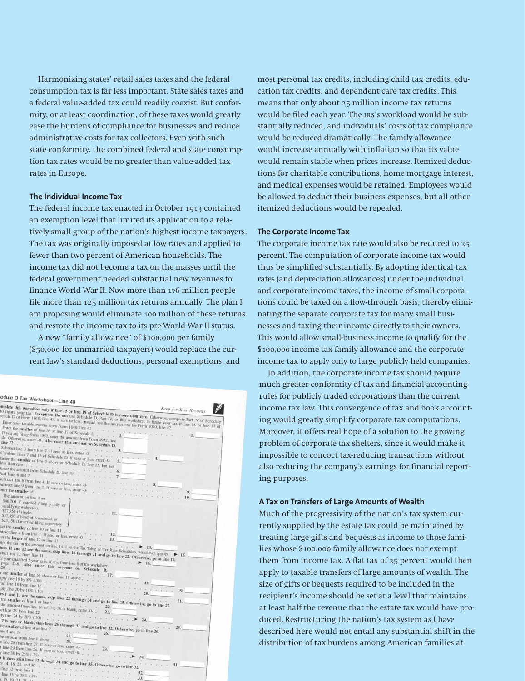Harmonizing states' retail sales taxes and the federal consumption tax is far less important. State sales taxes and a federal value-added tax could readily coexist. But conformity, or at least coordination, of these taxes would greatly ease the burdens of compliance for businesses and reduce administrative costs for tax collectors. Even with such state conformity, the combined federal and state consumption tax rates would be no greater than value-added tax rates in Europe.

#### **The Individual Income Tax**

The federal income tax enacted in October 1913 contained an exemption level that limited its application to a relatively small group of the nation's highest-income taxpayers. The tax was originally imposed at low rates and applied to fewer than two percent of American households. The income tax did not become a tax on the masses until the federal government needed substantial new revenues to finance World War II. Now more than 176 million people file more than 125 million tax returns annually. The plan I am proposing would eliminate 100 million of these returns and restore the income tax to its pre-World War II status.

A new "family allowance" of \$100,000 per family (\$50,000 for unmarried taxpayers) would replace the current law's standard deductions, personal exemptions, and

| edule D Tax Worksheet-Line 40                                                                                                                                                                                                                                                                                                                                                                                                                                                                                                                                                                                                                                                                                                                                                                                                                                                                                                                                                                                                                                                                                                                                                                                                                                                                                                      |                             |
|------------------------------------------------------------------------------------------------------------------------------------------------------------------------------------------------------------------------------------------------------------------------------------------------------------------------------------------------------------------------------------------------------------------------------------------------------------------------------------------------------------------------------------------------------------------------------------------------------------------------------------------------------------------------------------------------------------------------------------------------------------------------------------------------------------------------------------------------------------------------------------------------------------------------------------------------------------------------------------------------------------------------------------------------------------------------------------------------------------------------------------------------------------------------------------------------------------------------------------------------------------------------------------------------------------------------------------|-----------------------------|
|                                                                                                                                                                                                                                                                                                                                                                                                                                                                                                                                                                                                                                                                                                                                                                                                                                                                                                                                                                                                                                                                                                                                                                                                                                                                                                                                    |                             |
| implete this worksheet only if line 15 or line 19 of Schedule D is more than zero. Otherwise, complete Part IV of Schedule<br>to figure your tax. Exception: Do not use Schedule D, Part IV, or this worksheet to figure your tax if line 16 or line 17 of<br>hedule D or Form 1040, line 41, is zero or less; instead, see the instructions for Form 1040, line 42.<br>Enter the smaller of line 16 or line 17 of Schedule D 2.<br>If you are filing Form 4952, enter the amount from Form 4952, line<br>4e. Otherwise, enter -0-. Also enter this amount on Schedule D,<br>line 22 $\rightarrow$ 3.<br>Combine lines 7 and 15 of Schedule D. If zero or less, enter -0-5.<br>Enter the smaller of line 5 above or Schedule D, line 15, but not<br>less than zero $\frac{1}{2}$ , $\frac{1}{2}$ , $\frac{1}{2}$ , $\frac{1}{2}$ , $\frac{1}{2}$ , $\frac{1}{2}$ , $\frac{1}{2}$ , $\frac{1}{2}$ , $\frac{1}{2}$ , $\frac{1}{2}$ , $\frac{1}{2}$ , $\frac{1}{2}$ , $\frac{1}{2}$ , $\frac{1}{2}$ , $\frac{1}{2}$ , $\frac{1}{2}$ , $\frac{1}{2}$ , $\$<br>Enter the amount from Schedule D, line 19 $\cdots$ $\cdots$<br>6.<br>Add lines 6 and 7 $\cdots$<br>7.<br>Subtract line 8 from line 4. If zero or less, enter -0- $\ldots$<br>Subtract line 9 from line 1. If zero or less, enter -0- $\ldots$<br>The amount on line 1 or | $\mathbf{I}$ .<br>9.<br>10. |
| \$46,700 if married filing jointly or<br>qualifying widow(er);<br>\$27,950 if single;<br>$-11.$<br>\$37,450 if head of household; or                                                                                                                                                                                                                                                                                                                                                                                                                                                                                                                                                                                                                                                                                                                                                                                                                                                                                                                                                                                                                                                                                                                                                                                               |                             |
| \$23,350 if married filing separately                                                                                                                                                                                                                                                                                                                                                                                                                                                                                                                                                                                                                                                                                                                                                                                                                                                                                                                                                                                                                                                                                                                                                                                                                                                                                              |                             |
| ter the smaller of line 10 or line 11 $\ldots$ $\ldots$ $\ldots$<br>btract line 4 from line 1. If zero or less, enter -0- $\cdot$ - $\cdot$ 13.<br>for the larger of line 12 or line 13 (a) $\frac{1}{2}$ (b) $\frac{1}{2}$ (b) $\frac{1}{2}$ (c) $\frac{1}{2}$ (c) $\frac{1}{2}$ (c) $\frac{1}{2}$ (c) $\frac{1}{2}$ (c) $\frac{1}{2}$ (c) $\frac{1}{2}$ (c) $\frac{1}{2}$ (c) $\frac{1}{2}$ (c) $\frac{1}{2}$ (c) $\frac{1}{2}$ (c                                                                                                                                                                                                                                                                                                                                                                                                                                                                                                                                                                                                                                                                                                                                                                                                                                                                                               |                             |
|                                                                                                                                                                                                                                                                                                                                                                                                                                                                                                                                                                                                                                                                                                                                                                                                                                                                                                                                                                                                                                                                                                                                                                                                                                                                                                                                    |                             |
| ure the tax on the amount on line 14. Use the Tax Table or Tax Rate Schedules, whichever applies<br>ines 11 and 12 are the same, skip lines 16 through 21 and go to line 22. Otherwise, go to line 16.                                                                                                                                                                                                                                                                                                                                                                                                                                                                                                                                                                                                                                                                                                                                                                                                                                                                                                                                                                                                                                                                                                                             |                             |
|                                                                                                                                                                                                                                                                                                                                                                                                                                                                                                                                                                                                                                                                                                                                                                                                                                                                                                                                                                                                                                                                                                                                                                                                                                                                                                                                    | $\blacktriangleright$ 15.   |
| er your qualified 5-year gain, if any, from line 8 of the worksheet<br>page D-8. Also enter this amount on Schedule D,<br>29. 17.                                                                                                                                                                                                                                                                                                                                                                                                                                                                                                                                                                                                                                                                                                                                                                                                                                                                                                                                                                                                                                                                                                                                                                                                  |                             |
| r the smaller of line 16 above or line 17 above, $\ldots$ , , , , , , , , 18.                                                                                                                                                                                                                                                                                                                                                                                                                                                                                                                                                                                                                                                                                                                                                                                                                                                                                                                                                                                                                                                                                                                                                                                                                                                      |                             |
| aply line 18 by 8% (.08)                                                                                                                                                                                                                                                                                                                                                                                                                                                                                                                                                                                                                                                                                                                                                                                                                                                                                                                                                                                                                                                                                                                                                                                                                                                                                                           |                             |
| Fact line 18 from line 16 $\ldots$ 20.                                                                                                                                                                                                                                                                                                                                                                                                                                                                                                                                                                                                                                                                                                                                                                                                                                                                                                                                                                                                                                                                                                                                                                                                                                                                                             |                             |
| ply line 20 by 10% (10) $(10)$ .                                                                                                                                                                                                                                                                                                                                                                                                                                                                                                                                                                                                                                                                                                                                                                                                                                                                                                                                                                                                                                                                                                                                                                                                                                                                                                   | . 19.                       |
|                                                                                                                                                                                                                                                                                                                                                                                                                                                                                                                                                                                                                                                                                                                                                                                                                                                                                                                                                                                                                                                                                                                                                                                                                                                                                                                                    |                             |
| es 1 and 11 are the same, skip lines 22 through 34 and go to line 35. Otherwise, go to line 22.<br>the smaller of line 1 or line 9 $\Box$ $\Box$ $\Box$ $\Box$ $\Box$ $\Box$ $\Box$                                                                                                                                                                                                                                                                                                                                                                                                                                                                                                                                                                                                                                                                                                                                                                                                                                                                                                                                                                                                                                                                                                                                                | 21.                         |
| the amount from line 16 (if line 16 is blank, enter -0-), 23,                                                                                                                                                                                                                                                                                                                                                                                                                                                                                                                                                                                                                                                                                                                                                                                                                                                                                                                                                                                                                                                                                                                                                                                                                                                                      |                             |
|                                                                                                                                                                                                                                                                                                                                                                                                                                                                                                                                                                                                                                                                                                                                                                                                                                                                                                                                                                                                                                                                                                                                                                                                                                                                                                                                    |                             |
| 7 is zero or blank, skip lines 26 through 31 and go to line 32. Otherwise, go to line 26.                                                                                                                                                                                                                                                                                                                                                                                                                                                                                                                                                                                                                                                                                                                                                                                                                                                                                                                                                                                                                                                                                                                                                                                                                                          |                             |
|                                                                                                                                                                                                                                                                                                                                                                                                                                                                                                                                                                                                                                                                                                                                                                                                                                                                                                                                                                                                                                                                                                                                                                                                                                                                                                                                    |                             |
| $res 4$ and 14 27.<br>26.                                                                                                                                                                                                                                                                                                                                                                                                                                                                                                                                                                                                                                                                                                                                                                                                                                                                                                                                                                                                                                                                                                                                                                                                                                                                                                          |                             |
| the amount from line 1 above 28.                                                                                                                                                                                                                                                                                                                                                                                                                                                                                                                                                                                                                                                                                                                                                                                                                                                                                                                                                                                                                                                                                                                                                                                                                                                                                                   |                             |
|                                                                                                                                                                                                                                                                                                                                                                                                                                                                                                                                                                                                                                                                                                                                                                                                                                                                                                                                                                                                                                                                                                                                                                                                                                                                                                                                    |                             |
| t line 28 from line 27. If zero or less, enter $-0$ ,  29.                                                                                                                                                                                                                                                                                                                                                                                                                                                                                                                                                                                                                                                                                                                                                                                                                                                                                                                                                                                                                                                                                                                                                                                                                                                                         |                             |
|                                                                                                                                                                                                                                                                                                                                                                                                                                                                                                                                                                                                                                                                                                                                                                                                                                                                                                                                                                                                                                                                                                                                                                                                                                                                                                                                    |                             |
| 5 is zero, skip lines 32 through 34 and go to line 35. Otherwise, go to line 32.                                                                                                                                                                                                                                                                                                                                                                                                                                                                                                                                                                                                                                                                                                                                                                                                                                                                                                                                                                                                                                                                                                                                                                                                                                                   |                             |
| is 14, 16, 24, and 30 $\frac{1}{2}$ is $\frac{1}{2}$ in $\frac{1}{2}$ in $\frac{1}{2}$ in $\frac{1}{2}$                                                                                                                                                                                                                                                                                                                                                                                                                                                                                                                                                                                                                                                                                                                                                                                                                                                                                                                                                                                                                                                                                                                                                                                                                            |                             |
| line 32 from line 1 $\rightarrow$                                                                                                                                                                                                                                                                                                                                                                                                                                                                                                                                                                                                                                                                                                                                                                                                                                                                                                                                                                                                                                                                                                                                                                                                                                                                                                  | 32.                         |
|                                                                                                                                                                                                                                                                                                                                                                                                                                                                                                                                                                                                                                                                                                                                                                                                                                                                                                                                                                                                                                                                                                                                                                                                                                                                                                                                    | 33.                         |
| \$15, 19, 21, 26                                                                                                                                                                                                                                                                                                                                                                                                                                                                                                                                                                                                                                                                                                                                                                                                                                                                                                                                                                                                                                                                                                                                                                                                                                                                                                                   |                             |

most personal tax credits, including child tax credits, education tax credits, and dependent care tax credits. This means that only about 25 million income tax returns would be filed each year. The irs's workload would be substantially reduced, and individuals' costs of tax compliance would be reduced dramatically. The family allowance would increase annually with inflation so that its value would remain stable when prices increase. Itemized deductions for charitable contributions, home mortgage interest, and medical expenses would be retained. Employees would be allowed to deduct their business expenses, but all other itemized deductions would be repealed.

#### **The Corporate Income Tax**

The corporate income tax rate would also be reduced to 25 percent. The computation of corporate income tax would thus be simplified substantially. By adopting identical tax rates (and depreciation allowances) under the individual and corporate income taxes, the income of small corporations could be taxed on a flow-through basis, thereby eliminating the separate corporate tax for many small businesses and taxing their income directly to their owners. This would allow small-business income to qualify for the \$100,000 income tax family allowance and the corporate income tax to apply only to large publicly held companies.

In addition, the corporate income tax should require much greater conformity of tax and financial accounting rules for publicly traded corporations than the current income tax law. This convergence of tax and book accounting would greatly simplify corporate tax computations. Moreover, it offers real hope of a solution to the growing problem of corporate tax shelters, since it would make it impossible to concoct tax-reducing transactions without also reducing the company's earnings for financial reporting purposes.

#### **A Tax on Transfers of Large Amounts of Wealth**

Much of the progressivity of the nation's tax system currently supplied by the estate tax could be maintained by treating large gifts and bequests as income to those families whose \$100,000 family allowance does not exempt them from income tax. A flat tax of 25 percent would then apply to taxable transfers of large amounts of wealth. The size of gifts or bequests required to be included in the recipient's income should be set at a level that maintains at least half the revenue that the estate tax would have produced. Restructuring the nation's tax system as I have described here would not entail any substantial shift in the distribution of tax burdens among American families at